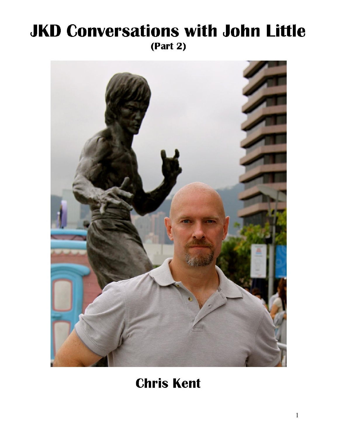# **JKD Conversations with John Little**  $(Part 2)$



**Chris Kent**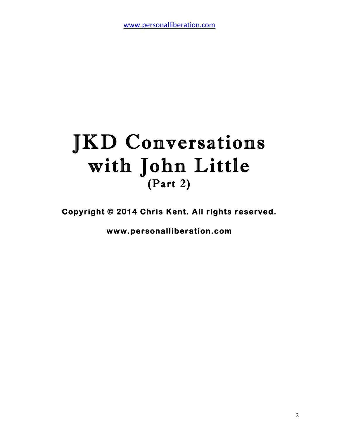# JKD Conversations with John Little (Part 2)

**Copyright © 2014 Chris Kent. All rights reserved.** 

**www.personalliberation.com**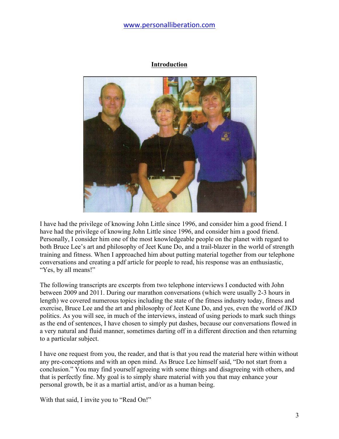#### **Introduction**



I have had the privilege of knowing John Little since 1996, and consider him a good friend. I have had the privilege of knowing John Little since 1996, and consider him a good friend. Personally, I consider him one of the most knowledgeable people on the planet with regard to both Bruce Lee's art and philosophy of Jeet Kune Do, and a trail-blazer in the world of strength training and fitness. When I approached him about putting material together from our telephone conversations and creating a pdf article for people to read, his response was an enthusiastic, "Yes, by all means!"

The following transcripts are excerpts from two telephone interviews I conducted with John between 2009 and 2011. During our marathon conversations (which were usually 2-3 hours in length) we covered numerous topics including the state of the fitness industry today, fitness and exercise, Bruce Lee and the art and philosophy of Jeet Kune Do, and yes, even the world of JKD politics. As you will see, in much of the interviews, instead of using periods to mark such things as the end of sentences, I have chosen to simply put dashes, because our conversations flowed in a very natural and fluid manner, sometimes darting off in a different direction and then returning to a particular subject.

I have one request from you, the reader, and that is that you read the material here within without any pre-conceptions and with an open mind. As Bruce Lee himself said, "Do not start from a conclusion." You may find yourself agreeing with some things and disagreeing with others, and that is perfectly fine. My goal is to simply share material with you that may enhance your personal growth, be it as a martial artist, and/or as a human being.

With that said, I invite you to "Read On!"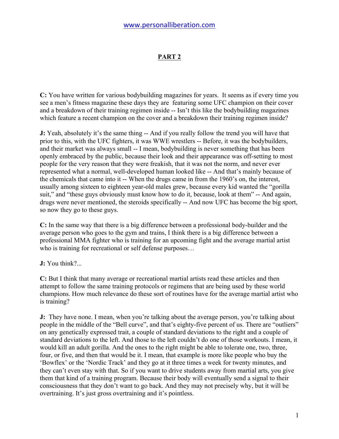## **PART 2**

**C:** You have written for various bodybuilding magazines for years. It seems as if every time you see a men's fitness magazine these days they are featuring some UFC champion on their cover and a breakdown of their training regimen inside -- Isn't this like the bodybuilding magazines which feature a recent champion on the cover and a breakdown their training regimen inside?

**J:** Yeah, absolutely it's the same thing -- And if you really follow the trend you will have that prior to this, with the UFC fighters, it was WWE wrestlers -- Before, it was the bodybuilders, and their market was always small -- I mean, bodybuilding is never something that has been openly embraced by the public, because their look and their appearance was off-setting to most people for the very reason that they were freakish, that it was not the norm, and never ever represented what a normal, well-developed human looked like -- And that's mainly because of the chemicals that came into it -- When the drugs came in from the 1960's on, the interest, usually among sixteen to eighteen year-old males grew, because every kid wanted the "gorilla suit," and "these guys obviously must know how to do it, because, look at them" -- And again, drugs were never mentioned, the steroids specifically -- And now UFC has become the big sport, so now they go to these guys.

**C:** In the same way that there is a big difference between a professional body-builder and the average person who goes to the gym and trains, I think there is a big difference between a professional MMA fighter who is training for an upcoming fight and the average martial artist who is training for recreational or self defense purposes...

**J:** You think?...

**C:** But I think that many average or recreational martial artists read these articles and then attempt to follow the same training protocols or regimens that are being used by these world champions. How much relevance do these sort of routines have for the average martial artist who is training?

**J:** They have none. I mean, when you're talking about the average person, you're talking about people in the middle of the "Bell curve", and that's eighty-five percent of us. There are "outliers" on any genetically expressed trait, a couple of standard deviations to the right and a couple of standard deviations to the left. And those to the left couldn't do one of those workouts. I mean, it would kill an adult gorilla. And the ones to the right might be able to tolerate one, two, three, four, or five, and then that would be it. I mean, that example is more like people who buy the 'Bowflex' or the 'Nordic Track' and they go at it three times a week for twenty minutes, and they can't even stay with that. So if you want to drive students away from martial arts, you give them that kind of a training program. Because their body will eventually send a signal to their consciousness that they don't want to go back. And they may not precisely why, but it will be overtraining. It's just gross overtraining and it's pointless.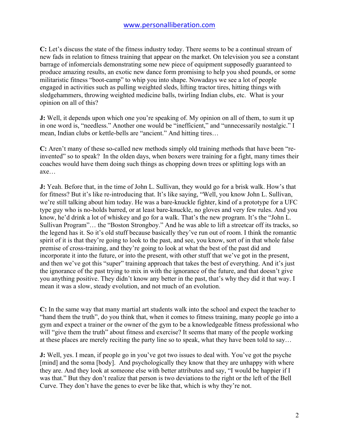**C:** Let's discuss the state of the fitness industry today. There seems to be a continual stream of new fads in relation to fitness training that appear on the market. On television you see a constant barrage of infomercials demonstrating some new piece of equipment supposedly guaranteed to produce amazing results, an exotic new dance form promising to help you shed pounds, or some militaristic fitness "boot-camp" to whip you into shape. Nowadays we see a lot of people engaged in activities such as pulling weighted sleds, lifting tractor tires, hitting things with sledgehammers, throwing weighted medicine balls, twirling Indian clubs, etc. What is your opinion on all of this?

**J:** Well, it depends upon which one you're speaking of. My opinion on all of them, to sum it up in one word is, "needless." Another one would be "inefficient," and "unnecessarily nostalgic." I mean, Indian clubs or kettle-bells are "ancient." And hitting tires…

**C:** Aren't many of these so-called new methods simply old training methods that have been "reinvented" so to speak? In the olden days, when boxers were training for a fight, many times their coaches would have them doing such things as chopping down trees or splitting logs with an axe…

**J:** Yeah. Before that, in the time of John L. Sullivan, they would go for a brisk walk. How's that for fitness? But it's like re-introducing that. It's like saying, "Well, you know John L. Sullivan, we're still talking about him today. He was a bare-knuckle fighter, kind of a prototype for a UFC type guy who is no-holds barred, or at least bare-knuckle, no gloves and very few rules. And you know, he'd drink a lot of whiskey and go for a walk. That's the new program. It's the "John L. Sullivan Program"… the "Boston Strongboy." And he was able to lift a streetcar off its tracks, so the legend has it. So it's old stuff because basically they've run out of room. I think the romantic spirit of it is that they're going to look to the past, and see, you know, sort of in that whole false premise of cross-training, and they're going to look at what the best of the past did and incorporate it into the future, or into the present, with other stuff that we've got in the present, and then we've got this "super" training approach that takes the best of everything. And it's just the ignorance of the past trying to mix in with the ignorance of the future, and that doesn't give you anything positive. They didn't know any better in the past, that's why they did it that way. I mean it was a slow, steady evolution, and not much of an evolution.

**C:** In the same way that many martial art students walk into the school and expect the teacher to "hand them the truth", do you think that, when it comes to fitness training, many people go into a gym and expect a trainer or the owner of the gym to be a knowledgeable fitness professional who will "give them the truth" about fitness and exercise? It seems that many of the people working at these places are merely reciting the party line so to speak, what they have been told to say…

**J:** Well, yes. I mean, if people go in you've got two issues to deal with. You've got the psyche [mind] and the soma [body]. And psychologically they know that they are unhappy with where they are. And they look at someone else with better attributes and say, "I would be happier if I was that." But they don't realize that person is two deviations to the right or the left of the Bell Curve. They don't have the genes to ever be like that, which is why they're not.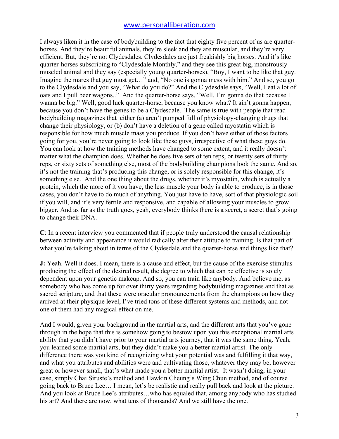I always liken it in the case of bodybuilding to the fact that eighty five percent of us are quarterhorses. And they're beautiful animals, they're sleek and they are muscular, and they're very efficient. But, they're not Clydesdales. Clydesdales are just freakishly big horses. And it's like quarter-horses subscribing to "Clydesdale Monthly," and they see this great big, monstrouslymuscled animal and they say (especially young quarter-horses), "Boy, I want to be like that guy. Imagine the mares that guy must get…" and, "No one is gonna mess with him." And so, you go to the Clydesdale and you say, "What do you do?" And the Clydesdale says, "Well, I eat a lot of oats and I pull beer wagons.." And the quarter-horse says, "Well, I'm gonna do that because I wanna be big." Well, good luck quarter-horse, because you know what? It ain't gonna happen, because you don't have the genes to be a Clydesdale. The same is true with people that read bodybuilding magazines that either (a) aren't pumped full of physiology-changing drugs that change their physiology, or (b) don't have a deletion of a gene called myostatin which is responsible for how much muscle mass you produce. If you don't have either of those factors going for you, you're never going to look like these guys, irrespective of what these guys do. You can look at how the training methods have changed to some extent, and it really doesn't matter what the champion does. Whether he does five sets of ten reps, or twenty sets of thirty reps, or sixty sets of something else, most of the bodybuilding champions look the same. And so, it's not the training that's producing this change, or is solely responsible for this change, it's something else. And the one thing about the drugs, whether it's myostatin, which is actually a protein, which the more of it you have, the less muscle your body is able to produce, is in those cases, you don't have to do much of anything, You just have to have, sort of that physiologic soil if you will, and it's very fertile and responsive, and capable of allowing your muscles to grow bigger. And as far as the truth goes, yeah, everybody thinks there is a secret, a secret that's going to change their DNA.

**C**: In a recent interview you commented that if people truly understood the causal relationship between activity and appearance it would radically alter their attitude to training. Is that part of what you're talking about in terms of the Clydesdale and the quarter-horse and things like that?

**J:** Yeah. Well it does. I mean, there is a cause and effect, but the cause of the exercise stimulus producing the effect of the desired result, the degree to which that can be effective is solely dependent upon your genetic makeup. And so, you can train like anybody. And believe me, as somebody who has come up for over thirty years regarding bodybuilding magazines and that as sacred scripture, and that these were oracular pronouncements from the champions on how they arrived at their physique level, I've tried tons of these different systems and methods, and not one of them had any magical effect on me.

And I would, given your background in the martial arts, and the different arts that you've gone through in the hope that this is somehow going to bestow upon you this exceptional martial arts ability that you didn't have prior to your martial arts journey, that it was the same thing. Yeah, you learned some martial arts, but they didn't make you a better martial artist. The only difference there was you kind of recognizing what your potential was and fulfilling it that way, and what you attributes and abilities were and cultivating those, whatever they may be, however great or however small, that's what made you a better martial artist. It wasn't doing, in your case, simply Chai Siruste's method and Hawkin Cheung's Wing Chun method, and of course going back to Bruce Lee… I mean, let's be realistic and really pull back and look at the picture. And you look at Bruce Lee's attributes…who has equaled that, among anybody who has studied his art? And there are now, what tens of thousands? And we still have the one.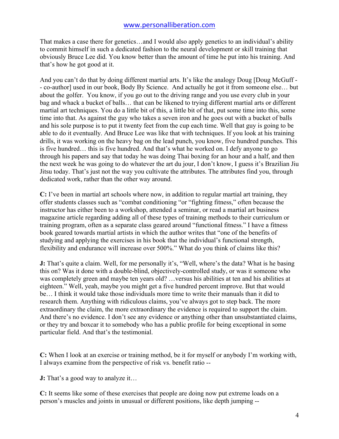That makes a case there for genetics…and I would also apply genetics to an individual's ability to commit himself in such a dedicated fashion to the neural development or skill training that obviously Bruce Lee did. You know better than the amount of time he put into his training. And that's how he got good at it.

And you can't do that by doing different martial arts. It's like the analogy Doug [Doug McGuff - - co-author] used in our book, Body By Science. And actually he got it from someone else… but about the golfer. You know, if you go out to the driving range and you use every club in your bag and whack a bucket of balls… that can be likened to trying different martial arts or different martial art techniques. You do a little bit of this, a little bit of that, put some time into this, some time into that. As against the guy who takes a seven iron and he goes out with a bucket of balls and his sole purpose is to put it twenty feet from the cup each time. Well that guy is going to be able to do it eventually. And Bruce Lee was like that with techniques. If you look at his training drills, it was working on the heavy bag on the lead punch, you know, five hundred punches. This is five hundred… this is five hundred. And that's what he worked on. I defy anyone to go through his papers and say that today he was doing Thai boxing for an hour and a half, and then the next week he was going to do whatever the art du jour, I don't know, I guess it's Brazilian Jiu Jitsu today. That's just not the way you cultivate the attributes. The attributes find you, through dedicated work, rather than the other way around.

**C:** I've been in martial art schools where now, in addition to regular martial art training, they offer students classes such as "combat conditioning "or "fighting fitness," often because the instructor has either been to a workshop, attended a seminar, or read a martial art business magazine article regarding adding all of these types of training methods to their curriculum or training program, often as a separate class geared around "functional fitness." I have a fitness book geared towards martial artists in which the author writes that "one of the benefits of studying and applying the exercises in his book that the individual's functional strength, flexibility and endurance will increase over 500%." What do you think of claims like this?

**J:** That's quite a claim. Well, for me personally it's, "Well, where's the data? What is he basing this on? Was it done with a double-blind, objectively-controlled study, or was it someone who was completely green and maybe ten years old? …versus his abilities at ten and his abilities at eighteen." Well, yeah, maybe you might get a five hundred percent improve. But that would be… I think it would take those individuals more time to write their manuals than it did to research them. Anything with ridiculous claims, you've always got to step back. The more extraordinary the claim, the more extraordinary the evidence is required to support the claim. And there's no evidence. I don't see any evidence or anything other than unsubstantiated claims, or they try and boxcar it to somebody who has a public profile for being exceptional in some particular field. And that's the testimonial.

**C:** When I look at an exercise or training method, be it for myself or anybody I'm working with, I always examine from the perspective of risk vs. benefit ratio --

**J:** That's a good way to analyze it...

**C:** It seems like some of these exercises that people are doing now put extreme loads on a person's muscles and joints in unusual or different positions, like depth jumping --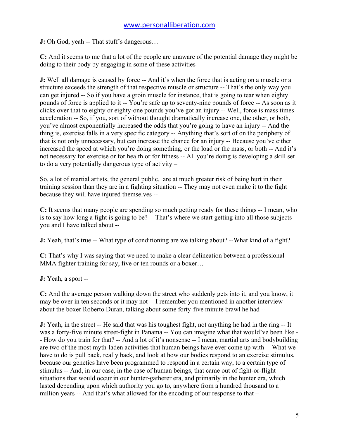**J:** Oh God, yeah -- That stuff's dangerous…

**C:** And it seems to me that a lot of the people are unaware of the potential damage they might be doing to their body by engaging in some of these activities --

**J:** Well all damage is caused by force -- And it's when the force that is acting on a muscle or a structure exceeds the strength of that respective muscle or structure -- That's the only way you can get injured -- So if you have a groin muscle for instance, that is going to tear when eighty pounds of force is applied to it -- You're safe up to seventy-nine pounds of force -- As soon as it clicks over that to eighty or eighty-one pounds you've got an injury -- Well, force is mass times acceleration -- So, if you, sort of without thought dramatically increase one, the other, or both, you've almost exponentially increased the odds that you're going to have an injury -- And the thing is, exercise falls in a very specific category -- Anything that's sort of on the periphery of that is not only unnecessary, but can increase the chance for an injury -- Because you've either increased the speed at which you're doing something, or the load or the mass, or both -- And it's not necessary for exercise or for health or for fitness -- All you're doing is developing a skill set to do a very potentially dangerous type of activity –

So, a lot of martial artists, the general public, are at much greater risk of being hurt in their training session than they are in a fighting situation -- They may not even make it to the fight because they will have injured themselves --

**C:** It seems that many people are spending so much getting ready for these things -- I mean, who is to say how long a fight is going to be? -- That's where we start getting into all those subjects you and I have talked about --

**J:** Yeah, that's true -- What type of conditioning are we talking about? -- What kind of a fight?

**C:** That's why I was saying that we need to make a clear delineation between a professional MMA fighter training for say, five or ten rounds or a boxer...

**J:** Yeah, a sport --

**C:** And the average person walking down the street who suddenly gets into it, and you know, it may be over in ten seconds or it may not -- I remember you mentioned in another interview about the boxer Roberto Duran, talking about some forty-five minute brawl he had --

**J:** Yeah, in the street -- He said that was his toughest fight, not anything he had in the ring -- It was a forty-five minute street-fight in Panama -- You can imagine what that would've been like - - How do you train for that? -- And a lot of it's nonsense -- I mean, martial arts and bodybuilding are two of the most myth-laden activities that human beings have ever come up with -- What we have to do is pull back, really back, and look at how our bodies respond to an exercise stimulus, because our genetics have been programmed to respond in a certain way, to a certain type of stimulus -- And, in our case, in the case of human beings, that came out of fight-or-flight situations that would occur in our hunter-gatherer era, and primarily in the hunter era, which lasted depending upon which authority you go to, anywhere from a hundred thousand to a million years -- And that's what allowed for the encoding of our response to that –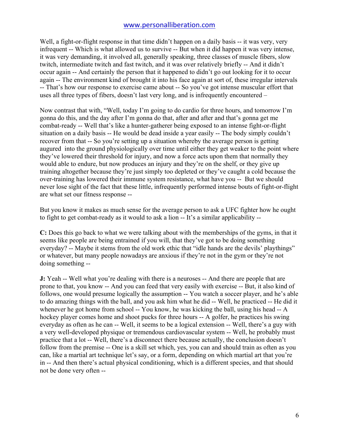Well, a fight-or-flight response in that time didn't happen on a daily basis -- it was very, very infrequent -- Which is what allowed us to survive -- But when it did happen it was very intense, it was very demanding, it involved all, generally speaking, three classes of muscle fibers, slow twitch, intermediate twitch and fast twitch, and it was over relatively briefly -- And it didn't occur again -- And certainly the person that it happened to didn't go out looking for it to occur again -- The environment kind of brought it into his face again at sort of, these irregular intervals -- That's how our response to exercise came about -- So you've got intense muscular effort that uses all three types of fibers, doesn't last very long, and is infrequently encountered –

Now contrast that with, "Well, today I'm going to do cardio for three hours, and tomorrow I'm gonna do this, and the day after I'm gonna do that, after and after and that's gonna get me combat-ready -- Well that's like a hunter-gatherer being exposed to an intense fight-or-flight situation on a daily basis -- He would be dead inside a year easily -- The body simply couldn't recover from that -- So you're setting up a situation whereby the average person is getting augured into the ground physiologically over time until either they get weaker to the point where they've lowered their threshold for injury, and now a force acts upon them that normally they would able to endure, but now produces an injury and they're on the shelf, or they give up training altogether because they're just simply too depleted or they've caught a cold because the over-training has lowered their immune system resistance, what have you -- But we should never lose sight of the fact that these little, infrequently performed intense bouts of fight-or-flight are what set our fitness response --

But you know it makes as much sense for the average person to ask a UFC fighter how he ought to fight to get combat-ready as it would to ask a lion -- It's a similar applicability --

**C:** Does this go back to what we were talking about with the memberships of the gyms, in that it seems like people are being entrained if you will, that they've got to be doing something everyday? -- Maybe it stems from the old work ethic that "idle hands are the devils' playthings" or whatever, but many people nowadays are anxious if they're not in the gym or they're not doing something --

**J:** Yeah -- Well what you're dealing with there is a neuroses -- And there are people that are prone to that, you know -- And you can feed that very easily with exercise -- But, it also kind of follows, one would presume logically the assumption -- You watch a soccer player, and he's able to do amazing things with the ball, and you ask him what he did -- Well, he practiced -- He did it whenever he got home from school -- You know, he was kicking the ball, using his head -- A hockey player comes home and shoot pucks for three hours -- A golfer, he practices his swing everyday as often as he can -- Well, it seems to be a logical extension -- Well, there's a guy with a very well-developed physique or tremendous cardiovascular system -- Well, he probably must practice that a lot -- Well, there's a disconnect there because actually, the conclusion doesn't follow from the premise -- One is a skill set which, yes, you can and should train as often as you can, like a martial art technique let's say, or a form, depending on which martial art that you're in -- And then there's actual physical conditioning, which is a different species, and that should not be done very often --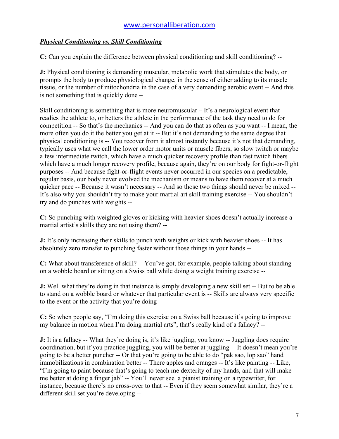### *Physical Conditioning vs. Skill Conditioning*

**C:** Can you explain the difference between physical conditioning and skill conditioning? --

**J:** Physical conditioning is demanding muscular, metabolic work that stimulates the body, or prompts the body to produce physiological change, in the sense of either adding to its muscle tissue, or the number of mitochondria in the case of a very demanding aerobic event -- And this is not something that is quickly done –

Skill conditioning is something that is more neuromuscular – It's a neurological event that readies the athlete to, or betters the athlete in the performance of the task they need to do for competition -- So that's the mechanics -- And you can do that as often as you want -- I mean, the more often you do it the better you get at it -- But it's not demanding to the same degree that physical conditioning is -- You recover from it almost instantly because it's not that demanding, typically uses what we call the lower order motor units or muscle fibers, so slow twitch or maybe a few intermediate twitch, which have a much quicker recovery profile than fast twitch fibers which have a much longer recovery profile, because again, they're on our body for fight-or-flight purposes -- And because fight-or-flight events never occurred in our species on a predictable, regular basis, our body never evolved the mechanism or means to have them recover at a much quicker pace -- Because it wasn't necessary -- And so those two things should never be mixed -- It's also why you shouldn't try to make your martial art skill training exercise -- You shouldn't try and do punches with weights --

**C:** So punching with weighted gloves or kicking with heavier shoes doesn't actually increase a martial artist's skills they are not using them? --

**J:** It's only increasing their skills to punch with weights or kick with heavier shoes -- It has absolutely zero transfer to punching faster without those things in your hands --

**C:** What about transference of skill? -- You've got, for example, people talking about standing on a wobble board or sitting on a Swiss ball while doing a weight training exercise --

**J:** Well what they're doing in that instance is simply developing a new skill set -- But to be able to stand on a wobble board or whatever that particular event is -- Skills are always very specific to the event or the activity that you're doing

**C:** So when people say, "I'm doing this exercise on a Swiss ball because it's going to improve my balance in motion when I'm doing martial arts", that's really kind of a fallacy? --

**J:** It is a fallacy -- What they're doing is, it's like juggling, you know -- Juggling does require coordination, but if you practice juggling, you will be better at juggling -- It doesn't mean you're going to be a better puncher -- Or that you're going to be able to do "pak sao, lop sao" hand immobilizations in combination better -- There apples and oranges -- It's like painting -- Like, "I'm going to paint because that's going to teach me dexterity of my hands, and that will make me better at doing a finger jab" -- You'll never see a pianist training on a typewriter, for instance, because there's no cross-over to that -- Even if they seem somewhat similar, they're a different skill set you're developing --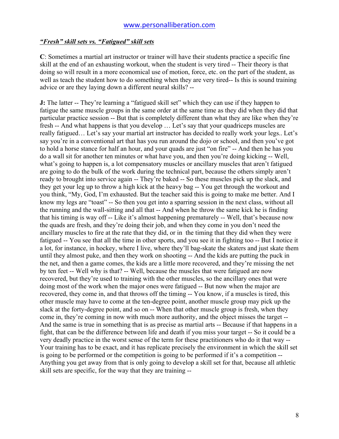#### *"Fresh" skill sets vs. "Fatigued" skill sets*

**C**: Sometimes a martial art instructor or trainer will have their students practice a specific fine skill at the end of an exhausting workout, when the student is very tired -- Their theory is that doing so will result in a more economical use of motion, force, etc. on the part of the student, as well as teach the student how to do something when they are very tired-- Is this is sound training advice or are they laying down a different neural skills? --

**J:** The latter -- They're learning a "fatigued skill set" which they can use if they happen to fatigue the same muscle groups in the same order at the same time as they did when they did that particular practice session -- But that is completely different than what they are like when they're fresh -- And what happens is that you develop … Let's say that your quadriceps muscles are really fatigued… Let's say your martial art instructor has decided to really work your legs.. Let's say you're in a conventional art that has you run around the dojo or school, and then you've got to hold a horse stance for half an hour, and your quads are just "on fire" -- And then he has you do a wall sit for another ten minutes or what have you, and then you're doing kicking -- Well, what's going to happen is, a lot compensatory muscles or ancillary muscles that aren't fatigued are going to do the bulk of the work during the technical part, because the others simply aren't ready to brought into service again -- They're baked -- So these muscles pick up the slack, and they get your leg up to throw a high kick at the heavy bag -- You get through the workout and you think, "My, God, I'm exhausted. But the teacher said this is going to make me better. And I know my legs are "toast" -- So then you get into a sparring session in the next class, without all the running and the wall-sitting and all that -- And when he throw the same kick he is finding that his timing is way off -- Like it's almost happening prematurely -- Well, that's because now the quads are fresh, and they're doing their job, and when they come in you don't need the ancillary muscles to fire at the rate that they did, or in the timing that they did when they were fatigued -- You see that all the time in other sports, and you see it in fighting too -- But I notice it a lot, for instance, in hockey, where I live, where they'll bag-skate the skaters and just skate them until they almost puke, and then they work on shooting -- And the kids are putting the puck in the net, and then a game comes, the kids are a little more recovered, and they're missing the net by ten feet -- Well why is that? -- Well, because the muscles that were fatigued are now recovered, but they're used to training with the other muscles, so the ancillary ones that were doing most of the work when the major ones were fatigued -- But now when the major are recovered, they come in, and that throws off the timing -- You know, if a muscles is tired, this other muscle may have to come at the ten-degree point, another muscle group may pick up the slack at the forty-degree point, and so on -- When that other muscle group is fresh, when they come in, they're coming in now with much more authority, and the object misses the target -- And the same is true in something that is as precise as martial arts -- Because if that happens in a fight, that can be the difference between life and death if you miss your target -- So it could be a very deadly practice in the worst sense of the term for these practitioners who do it that way -- Your training has to be exact, and it has replicate precisely the environment in which the skill set is going to be performed or the competition is going to be performed if it's a competition -- Anything you get away from that is only going to develop a skill set for that, because all athletic skill sets are specific, for the way that they are training --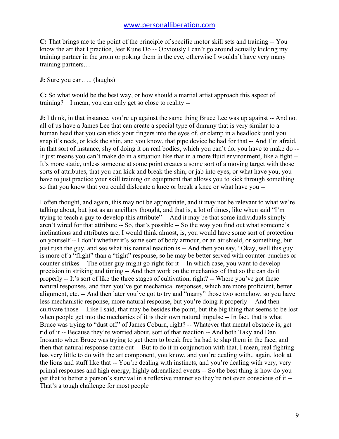**C:** That brings me to the point of the principle of specific motor skill sets and training -- You know the art that I practice, Jeet Kune Do -- Obviously I can't go around actually kicking my training partner in the groin or poking them in the eye, otherwise I wouldn't have very many training partners…

**J:** Sure you can….. (laughs)

**C:** So what would be the best way, or how should a martial artist approach this aspect of training? – I mean, you can only get so close to reality --

**J:** I think, in that instance, you're up against the same thing Bruce Lee was up against -- And not all of us have a James Lee that can create a special type of dummy that is very similar to a human head that you can stick your fingers into the eyes of, or clamp in a headlock until you snap it's neck, or kick the shin, and you know, that pipe device he had for that -- And I'm afraid, in that sort of instance, shy of doing it on real bodies, which you can't do, you have to make do -- It just means you can't make do in a situation like that in a more fluid environment, like a fight -- It's more static, unless someone at some point creates a some sort of a moving target with those sorts of attributes, that you can kick and break the shin, or jab into eyes, or what have you, you have to just practice your skill training on equipment that allows you to kick through something so that you know that you could dislocate a knee or break a knee or what have you --

I often thought, and again, this may not be appropriate, and it may not be relevant to what we're talking about, but just as an ancillary thought, and that is, a lot of times, like when said "I'm trying to teach a guy to develop this attribute" -- And it may be that some individuals simply aren't wired for that attribute -- So, that's possible -- So the way you find out what someone's inclinations and attributes are, I would think almost, is, you would have some sort of protection on yourself -- I don't whether it's some sort of body armour, or an air shield, or something, but just rush the guy, and see what his natural reaction is -- And then you say, "Okay, well this guy is more of a "flight" than a "fight" response, so he may be better served with counter-punches or counter-strikes -- The other guy might go right for it -- In which case, you want to develop precision in striking and timing -- And then work on the mechanics of that so the can do it properly -- It's sort of like the three stages of cultivation, right? -- Where you've got these natural responses, and then you've got mechanical responses, which are more proficient, better alignment, etc. -- And then later you've got to try and "marry" those two somehow, so you have less mechanistic response, more natural response, but you're doing it properly -- And then cultivate those -- Like I said, that may be besides the point, but the big thing that seems to be lost when people get into the mechanics of it is their own natural impulse -- In fact, that is what Bruce was trying to "dust off" of James Coburn, right? -- Whatever that mental obstacle is, get rid of it -- Because they're worried about, sort of that reaction -- And both Taky and Dan Inosanto when Bruce was trying to get them to break free ha had to slap them in the face, and then that natural response came out -- But to do it in conjunction with that, I mean, real fighting has very little to do with the art component, you know, and you're dealing with.. again, look at the lions and stuff like that -- You're dealing with instincts, and you're dealing with very, very primal responses and high energy, highly adrenalized events -- So the best thing is how do you get that to better a person's survival in a reflexive manner so they're not even conscious of it -- That's a tough challenge for most people –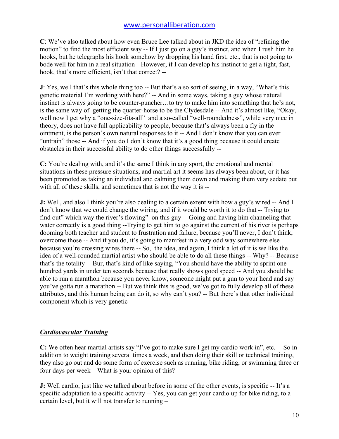**C**: We've also talked about how even Bruce Lee talked about in JKD the idea of "refining the motion" to find the most efficient way -- If I just go on a guy's instinct, and when I rush him he hooks, but he telegraphs his hook somehow by dropping his hand first, etc., that is not going to bode well for him in a real situation-- However, if I can develop his instinct to get a tight, fast, hook, that's more efficient, isn't that correct? --

**J**: Yes, well that's this whole thing too -- But that's also sort of seeing, in a way, "What's this genetic material I'm working with here?" -- And in some ways, taking a guy whose natural instinct is always going to be counter-puncher…to try to make him into something that he's not, is the same way of getting the quarter-horse to be the Clydesdale -- And it's almost like, "Okay, well now I get why a "one-size-fits-all" and a so-called "well-roundedness", while very nice in theory, does not have full applicability to people, because that's always been a fly in the ointment, is the person's own natural responses to it -- And I don't know that you can ever "untrain" those -- And if you do I don't know that it's a good thing because it could create obstacles in their successful ability to do other things successfully --

**C:** You're dealing with, and it's the same I think in any sport, the emotional and mental situations in these pressure situations, and martial art it seems has always been about, or it has been promoted as taking an individual and calming them down and making them very sedate but with all of these skills, and sometimes that is not the way it is --

**J:** Well, and also I think you're also dealing to a certain extent with how a guy's wired -- And I don't know that we could change the wiring, and if it would be worth it to do that -- Trying to find out" which way the river's flowing" on this guy -- Going and having him channeling that water correctly is a good thing --Trying to get him to go against the current of his river is perhaps dooming both teacher and student to frustration and failure, because you'll never, I don't think, overcome those -- And if you do, it's going to manifest in a very odd way somewhere else because you're crossing wires there -- So, the idea, and again, I think a lot of it is we like the idea of a well-rounded martial artist who should be able to do all these things -- Why? -- Because that's the totality -- Bur, that's kind of like saying, "You should have the ability to sprint one hundred yards in under ten seconds because that really shows good speed -- And you should be able to run a marathon because you never know, someone might put a gun to your head and say you've gotta run a marathon -- But we think this is good, we've got to fully develop all of these attributes, and this human being can do it, so why can't you? -- But there's that other individual component which is very genetic --

#### *Cardiovascular Training*

**C:** We often hear martial artists say "I've got to make sure I get my cardio work in", etc. -- So in addition to weight training several times a week, and then doing their skill or technical training, they also go out and do some form of exercise such as running, bike riding, or swimming three or four days per week – What is your opinion of this?

**J:** Well cardio, just like we talked about before in some of the other events, is specific -- It's a specific adaptation to a specific activity -- Yes, you can get your cardio up for bike riding, to a certain level, but it will not transfer to running –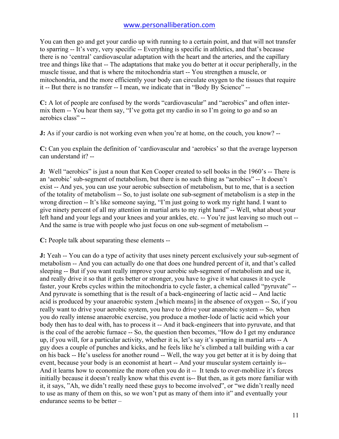You can then go and get your cardio up with running to a certain point, and that will not transfer to sparring -- It's very, very specific -- Everything is specific in athletics, and that's because there is no 'central' cardiovascular adaptation with the heart and the arteries, and the capillary tree and things like that -- The adaptations that make you do better at it occur peripherally, in the muscle tissue, and that is where the mitochondria start -- You strengthen a muscle, or mitochondria, and the more efficiently your body can circulate oxygen to the tissues that require it -- But there is no transfer -- I mean, we indicate that in "Body By Science" --

**C:** A lot of people are confused by the words "cardiovascular" and "aerobics" and often intermix them -- You hear them say, "I've gotta get my cardio in so I'm going to go and so an aerobics class" --

**J:** As if your cardio is not working even when you're at home, on the couch, you know? --

**C:** Can you explain the definition of 'cardiovascular and 'aerobics' so that the average layperson can understand it? --

**J:** Well "aerobics" is just a noun that Ken Cooper created to sell books in the 1960's -- There is an 'aerobic' sub-segment of metabolism, but there is no such thing as "aerobics" -- It doesn't exist -- And yes, you can use your aerobic subsection of metabolism, but to me, that is a section of the totality of metabolism -- So, to just isolate one sub-segment of metabolism is a step in the wrong direction -- It's like someone saying, "I'm just going to work my right hand. I want to give ninety percent of all my attention in martial arts to my right hand" -- Well, what about your left hand and your legs and your knees and your ankles, etc. -- You're just leaving so much out -- And the same is true with people who just focus on one sub-segment of metabolism --

**C:** People talk about separating these elements --

**J:** Yeah -- You can do a type of activity that uses ninety percent exclusively your sub-segment of metabolism -- And you can actually do one that does one hundred percent of it, and that's called sleeping -- But if you want really improve your aerobic sub-segment of metabolism and use it, and really drive it so that it gets better or stronger, you have to give it what causes it to cycle faster, your Krebs cycles within the mitochondria to cycle faster, a chemical called "pyruvate" -- And pyruvate is something that is the result of a back-engineering of lactic acid -- And lactic acid is produced by your anaerobic system ,[which means] in the absence of oxygen -- So, if you really want to drive your aerobic system, you have to drive your anaerobic system -- So, when you do really intense anaerobic exercise, you produce a mother-lode of lactic acid which your body then has to deal with, has to process it -- And it back-engineers that into pyruvate, and that is the coal of the aerobic furnace -- So, the question then becomes, "How do I get my endurance up, if you will, for a particular activity, whether it is, let's say it's sparring in martial arts -- A guy does a couple of punches and kicks, and he feels like he's climbed a tall building with a car on his back -- He's useless for another round -- Well, the way you get better at it is by doing that event, because your body is an economist at heart -- And your muscular system certainly is-- And it learns how to economize the more often you do it -- It tends to over-mobilize it's forces initially because it doesn't really know what this event is-- But then, as it gets more familiar with it, it says, "Ah, we didn't really need these guys to become involved", or "we didn't really need to use as many of them on this, so we won't put as many of them into it" and eventually your endurance seems to be better –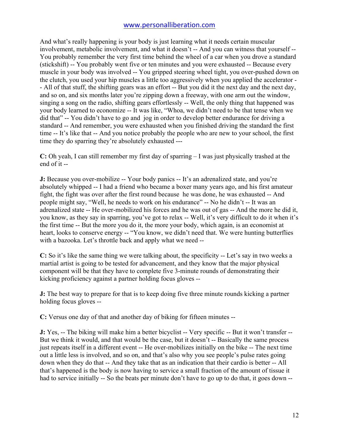And what's really happening is your body is just learning what it needs certain muscular involvement, metabolic involvement, and what it doesn't -- And you can witness that yourself -- You probably remember the very first time behind the wheel of a car when you drove a standard (stickshift) -- You probably went five or ten minutes and you were exhausted -- Because every muscle in your body was involved -- You gripped steering wheel tight, you over-pushed down on the clutch, you used your hip muscles a little too aggressively when you applied the accelerator - - All of that stuff, the shifting gears was an effort -- But you did it the next day and the next day, and so on, and six months later you're zipping down a freeway, with one arm out the window, singing a song on the radio, shifting gears effortlessly -- Well, the only thing that happened was your body learned to economize -- It was like, "Whoa, we didn't need to be that tense when we did that" -- You didn't have to go and jog in order to develop better endurance for driving a standard -- And remember, you were exhausted when you finished driving the standard the first time -- It's like that -- And you notice probably the people who are new to your school, the first time they do sparring they're absolutely exhausted ---

**C:** Oh yeah, I can still remember my first day of sparring – I was just physically trashed at the end of it --

**J:** Because you over-mobilize -- Your body panics -- It's an adrenalized state, and you're absolutely whipped -- I had a friend who became a boxer many years ago, and his first amateur fight, the fight was over after the first round because he was done, he was exhausted -- And people might say, "Well, he needs to work on his endurance" -- No he didn't -- It was an adrenalized state -- He over-mobilized his forces and he was out of gas -- And the more he did it, you know, as they say in sparring, you've got to relax -- Well, it's very difficult to do it when it's the first time -- But the more you do it, the more your body, which again, is an economist at heart, looks to conserve energy -- "You know, we didn't need that. We were hunting butterflies with a bazooka. Let's throttle back and apply what we need --

**C:** So it's like the same thing we were talking about, the specificity -- Let's say in two weeks a martial artist is going to be tested for advancement, and they know that the major physical component will be that they have to complete five 3-minute rounds of demonstrating their kicking proficiency against a partner holding focus gloves --

**J:** The best way to prepare for that is to keep doing five three minute rounds kicking a partner holding focus gloves --

**C:** Versus one day of that and another day of biking for fifteen minutes --

**J:** Yes, -- The biking will make him a better bicyclist -- Very specific -- But it won't transfer --But we think it would, and that would be the case, but it doesn't -- Basically the same process just repeats itself in a different event -- He over-mobilizes initially on the bike -- The next time out a little less is involved, and so on, and that's also why you see people's pulse rates going down when they do that -- And they take that as an indication that their cardio is better -- All that's happened is the body is now having to service a small fraction of the amount of tissue it had to service initially -- So the beats per minute don't have to go up to do that, it goes down --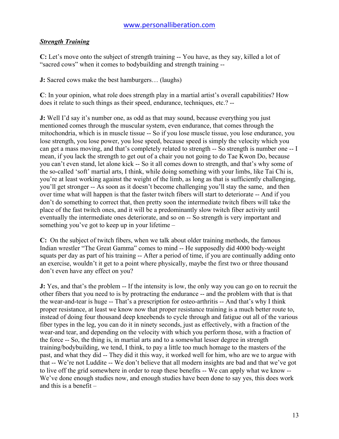#### *Strength Training*

**C:** Let's move onto the subject of strength training -- You have, as they say, killed a lot of "sacred cows" when it comes to bodybuilding and strength training --

**J:** Sacred cows make the best hamburgers… (laughs)

**C**: In your opinion, what role does strength play in a martial artist's overall capabilities? How does it relate to such things as their speed, endurance, techniques, etc.? --

**J:** Well I'd say it's number one, as odd as that may sound, because everything you just mentioned comes through the muscular system, even endurance, that comes through the mitochondria, which is in muscle tissue -- So if you lose muscle tissue, you lose endurance, you lose strength, you lose power, you lose speed, because speed is simply the velocity which you can get a mass moving, and that's completely related to strength -- So strength is number one -- I mean, if you lack the strength to get out of a chair you not going to do Tae Kwon Do, because you can't even stand, let alone kick -- So it all comes down to strength, and that's why some of the so-called 'soft' martial arts, I think, while doing something with your limbs, like Tai Chi is, you're at least working against the weight of the limb, as long as that is sufficiently challenging, you'll get stronger -- As soon as it doesn't become challenging you'll stay the same, and then over time what will happen is that the faster twitch fibers will start to deteriorate -- And if you don't do something to correct that, then pretty soon the intermediate twitch fibers will take the place of the fast twitch ones, and it will be a predominantly slow twitch fiber activity until eventually the intermediate ones deteriorate, and so on -- So strength is very important and something you've got to keep up in your lifetime –

**C:** On the subject of twitch fibers, when we talk about older training methods, the famous Indian wrestler "The Great Gamma" comes to mind -- He supposedly did 4000 body-weight squats per day as part of his training -- After a period of time, if you are continually adding onto an exercise, wouldn't it get to a point where physically, maybe the first two or three thousand don't even have any effect on you?

**J:** Yes, and that's the problem -- If the intensity is low, the only way you can go on to recruit the other fibers that you need to is by protracting the endurance -- and the problem with that is that the wear-and-tear is huge -- That's a prescription for osteo-arthritis -- And that's why I think proper resistance, at least we know now that proper resistance training is a much better route to, instead of doing four thousand deep kneebends to cycle through and fatigue out all of the various fiber types in the leg, you can do it in ninety seconds, just as effectively, with a fraction of the wear-and tear, and depending on the velocity with which you perform those, with a fraction of the force -- So, the thing is, in martial arts and to a somewhat lesser degree in strength training/bodybuilding, we tend, I think, to pay a little too much homage to the masters of the past, and what they did -- They did it this way, it worked well for him, who are we to argue with that -- We're not Luddite -- We don't believe that all modern insights are bad and that we've got to live off the grid somewhere in order to reap these benefits -- We can apply what we know -- We've done enough studies now, and enough studies have been done to say yes, this does work and this is a benefit –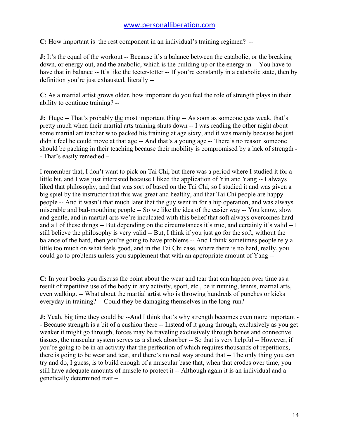**C:** How important is the rest component in an individual's training regimen? --

**J:** It's the equal of the workout -- Because it's a balance between the catabolic, or the breaking down, or energy out, and the anabolic, which is the building up or the energy in -- You have to have that in balance -- It's like the teeter-totter -- If you're constantly in a catabolic state, then by definition you're just exhausted, literally --

**C**: As a martial artist grows older, how important do you feel the role of strength plays in their ability to continue training? --

**J:** Huge -- That's probably the most important thing -- As soon as someone gets weak, that's pretty much when their martial arts training shuts down -- I was reading the other night about some martial art teacher who packed his training at age sixty, and it was mainly because he just didn't feel he could move at that age -- And that's a young age -- There's no reason someone should be packing in their teaching because their mobility is compromised by a lack of strength - - That's easily remedied –

I remember that, I don't want to pick on Tai Chi, but there was a period where I studied it for a little bit, and I was just interested because I liked the application of Yin and Yang -- I always liked that philosophy, and that was sort of based on the Tai Chi, so I studied it and was given a big spiel by the instructor that this was great and healthy, and that Tai Chi people are happy people -- And it wasn't that much later that the guy went in for a hip operation, and was always miserable and bad-mouthing people -- So we like the idea of the easier way -- You know, slow and gentle, and in martial arts we're inculcated with this belief that soft always overcomes hard and all of these things -- But depending on the circumstances it's true, and certainly it's valid -- I still believe the philosophy is very valid -- But, I think if you just go for the soft, without the balance of the hard, then you're going to have problems -- And I think sometimes people rely a little too much on what feels good, and in the Tai Chi case, where there is no hard, really, you could go to problems unless you supplement that with an appropriate amount of Yang --

**C:** In your books you discuss the point about the wear and tear that can happen over time as a result of repetitive use of the body in any activity, sport, etc., be it running, tennis, martial arts, even walking. -- What about the martial artist who is throwing hundreds of punches or kicks everyday in training? -- Could they be damaging themselves in the long-run?

**J:** Yeah, big time they could be --And I think that's why strength becomes even more important - - Because strength is a bit of a cushion there -- Instead of it going through, exclusively as you get weaker it might go through, forces may be traveling exclusively through bones and connective tissues, the muscular system serves as a shock absorber -- So that is very helpful -- However, if you're going to be in an activity that the perfection of which requires thousands of repetitions, there is going to be wear and tear, and there's no real way around that -- The only thing you can try and do, I guess, is to build enough of a muscular base that, when that erodes over time, you still have adequate amounts of muscle to protect it -- Although again it is an individual and a genetically determined trait –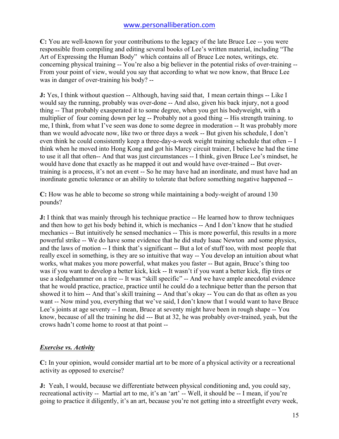**C:** You are well-known for your contributions to the legacy of the late Bruce Lee -- you were responsible from compiling and editing several books of Lee's written material, including "The Art of Expressing the Human Body" which contains all of Bruce Lee notes, writings, etc. concerning physical training -- You're also a big believer in the potential risks of over-training -- From your point of view, would you say that according to what we now know, that Bruce Lee was in danger of over-training his body? --

**J:** Yes, I think without question -- Although, having said that, I mean certain things -- Like I would say the running, probably was over-done -- And also, given his back injury, not a good thing -- That probably exasperated it to some degree, when you get his bodyweight, with a multiplier of four coming down per leg -- Probably not a good thing -- His strength training. to me, I think, from what I've seen was done to some degree in moderation -- It was probably more than we would advocate now, like two or three days a week -- But given his schedule, I don't even think he could consistently keep a three-day-a-week weight training schedule that often -- I think when he moved into Hong Kong and got his Marcy circuit trainer, I believe he had the time to use it all that often-- And that was just circumstances -- I think, given Bruce Lee's mindset, he would have done that exactly as he mapped it out and would have over-trained -- But overtraining is a process, it's not an event -- So he may have had an inordinate, and must have had an inordinate genetic tolerance or an ability to tolerate that before something negative happened --

**C:** How was he able to become so strong while maintaining a body-weight of around 130 pounds?

**J:** I think that was mainly through his technique practice -- He learned how to throw techniques and then how to get his body behind it, which is mechanics -- And I don't know that he studied mechanics -- But intuitively he sensed mechanics -- This is more powerful, this results in a more powerful strike -- We do have some evidence that he did study Isaac Newton and some physics, and the laws of motion -- I think that's significant -- But a lot of stuff too, with most people that really excel in something, is they are so intuitive that way -- You develop an intuition about what works, what makes you more powerful, what makes you faster -- But again, Bruce's thing too was if you want to develop a better kick, kick -- It wasn't if you want a better kick, flip tires or use a sledgehammer on a tire -- It was "skill specific" -- And we have ample anecdotal evidence that he would practice, practice, practice until he could do a technique better than the person that showed it to him -- And that's skill training -- And that's okay -- You can do that as often as you want -- Now mind you, everything that we've said, I don't know that I would want to have Bruce Lee's joints at age seventy -- I mean, Bruce at seventy might have been in rough shape -- You know, because of all the training he did --- But at 32, he was probably over-trained, yeah, but the crows hadn't come home to roost at that point --

#### *Exercise vs. Activity*

**C:** In your opinion, would consider martial art to be more of a physical activity or a recreational activity as opposed to exercise?

**J:** Yeah, I would, because we differentiate between physical conditioning and, you could say, recreational activity -- Martial art to me, it's an 'art' -- Well, it should be -- I mean, if you're going to practice it diligently, it's an art, because you're not getting into a streetfight every week,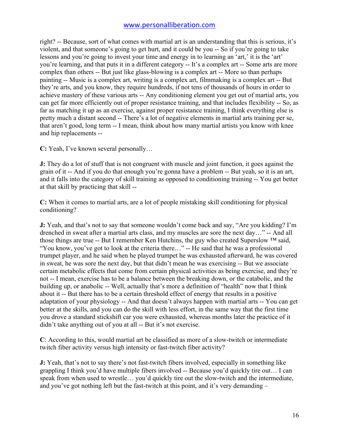right? -- Because, sort of what comes with martial art is an understanding that this is serious, it's violent, and that someone's going to get hurt, and it could be you -- So if you're going to take lessons and you're going to invest your time and energy in to learning an 'art,' it is the 'art' you're learning, and that puts it in a different category -- It's a complex art -- Some arts are more complex than others -- But just like glass-blowing is a complex art -- More so than perhaps painting -- Music is a complex art, writing is a complex art, filmmaking is a complex art -- But they're arts, and you know, they require hundreds, if not tens of thousands of hours in order to achieve mastery of these various arts -- Any conditioning element you get out of martial arts, you can get far more efficiently out of proper resistance training, and that includes flexibility -- So, as far as matching it up as an exercise, against proper resistance training, I think everything else is pretty much a distant second -- There's a lot of negative elements in martial arts training per se, that aren't good, long term -- I mean, think about how many martial artists you know with knee and hip replacements --

**C:** Yeah, I've known several personally…

**J:** They do a lot of stuff that is not congruent with muscle and joint function, it goes against the grain of it -- And if you do that enough you're gonna have a problem -- But yeah, so it is an art, and it falls into the category of skill training as opposed to conditioning training -- You get better at that skill by practicing that skill --

**C:** When it comes to martial arts, are a lot of people mistaking skill conditioning for physical conditioning?

**J:** Yeah, and that's not to say that someone wouldn't come back and say, "Are you kidding? I'm drenched in sweat after a martial arts class, and my muscles are sore the next day…" -- And all those things are true -- But I remember Ken Hutchins, the guy who created Superslow ™ said, "You know, you've got to look at the criteria there…" -- He said that he was a professional trumpet player, and he said when he played trumpet he was exhausted afterward, he was covered in sweat, he was sore the next day, but that didn't mean he was exercising -- But we associate certain metabolic effects that come from certain physical activities as being exercise, and they're not -- I mean, exercise has to be a balance between the breaking down, or the catabolic, and the building up, or anabolic -- Well, actually that's more a definition of "health" now that I think about it -- But there has to be a certain threshold effect of energy that results in a positive adaptation of your physiology -- And that doesn't always happen with martial arts -- You can get better at the skills, and you can do the skill with less effort, in the same way that the first time you drove a standard stickshift car you were exhausted, whereas months later the practice of it didn't take anything out of you at all -- But it's not exercise.

**C**: According to this, would martial art be classified as more of a slow-twitch or intermediate twitch fiber activity versus high intensity or fast-twitch fiber activity?

**J:** Yeah, that's not to say there's not fast-twitch fibers involved, especially in something like grappling I think you'd have multiple fibers involved -- Because you'd quickly tire out… I can speak from when used to wrestle… you'd quickly tire out the slow-twitch and the intermediate, and you've got nothing left but the fast-twitch at this point, and it's very demanding –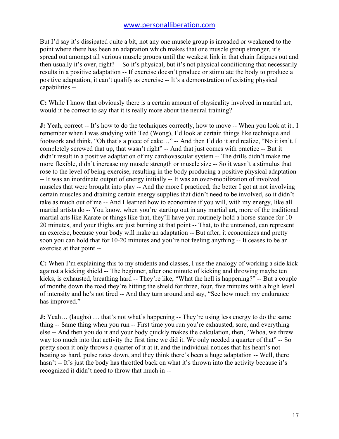But I'd say it's dissipated quite a bit, not any one muscle group is inroaded or weakened to the point where there has been an adaptation which makes that one muscle group stronger, it's spread out amongst all various muscle groups until the weakest link in that chain fatigues out and then usually it's over, right? -- So it's physical, but it's not physical conditioning that necessarily results in a positive adaptation -- If exercise doesn't produce or stimulate the body to produce a positive adaptation, it can't qualify as exercise -- It's a demonstration of existing physical capabilities --

**C:** While I know that obviously there is a certain amount of physicality involved in martial art, would it be correct to say that it is really more about the neural training?

**J:** Yeah, correct -- It's how to do the techniques correctly, how to move -- When you look at it.. I remember when I was studying with Ted (Wong), I'd look at certain things like technique and footwork and think, "Oh that's a piece of cake…" -- And then I'd do it and realize, "No it isn't. I completely screwed that up, that wasn't right" -- And that just comes with practice -- But it didn't result in a positive adaptation of my cardiovascular system -- The drills didn't make me more flexible, didn't increase my muscle strength or muscle size -- So it wasn't a stimulus that rose to the level of being exercise, resulting in the body producing a positive physical adaptation -- It was an inordinate output of energy initially -- It was an over-mobilization of involved muscles that were brought into play -- And the more I practiced, the better I got at not involving certain muscles and draining certain energy supplies that didn't need to be involved, so it didn't take as much out of me -- And I learned how to economize if you will, with my energy, like all martial artists do -- You know, when you're starting out in any martial art, more of the traditional martial arts like Karate or things like that, they'll have you routinely hold a horse-stance for 10- 20 minutes, and your thighs are just burning at that point -- That, to the untrained, can represent an exercise, because your body will make an adaptation -- But after, it economizes and pretty soon you can hold that for 10-20 minutes and you're not feeling anything -- It ceases to be an exercise at that point --

**C:** When I'm explaining this to my students and classes, I use the analogy of working a side kick against a kicking shield -- The beginner, after one minute of kicking and throwing maybe ten kicks, is exhausted, breathing hard -- They're like, "What the hell is happening?" -- But a couple of months down the road they're hitting the shield for three, four, five minutes with a high level of intensity and he's not tired -- And they turn around and say, "See how much my endurance has improved." --

**J:** Yeah... (laughs) ... that's not what's happening -- They're using less energy to do the same thing -- Same thing when you run -- First time you run you're exhausted, sore, and everything else -- And then you do it and your body quickly makes the calculation, then, "Whoa, we threw way too much into that activity the first time we did it. We only needed a quarter of that" -- So pretty soon it only throws a quarter of it at it, and the individual notices that his heart's not beating as hard, pulse rates down, and they think there's been a huge adaptation -- Well, there hasn't -- It's just the body has throttled back on what it's thrown into the activity because it's recognized it didn't need to throw that much in --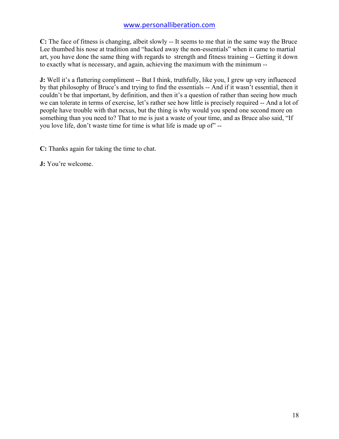**C:** The face of fitness is changing, albeit slowly -- It seems to me that in the same way the Bruce Lee thumbed his nose at tradition and "hacked away the non-essentials" when it came to martial art, you have done the same thing with regards to strength and fitness training -- Getting it down to exactly what is necessary, and again, achieving the maximum with the minimum --

**J:** Well it's a flattering compliment -- But I think, truthfully, like you, I grew up very influenced by that philosophy of Bruce's and trying to find the essentials -- And if it wasn't essential, then it couldn't be that important, by definition, and then it's a question of rather than seeing how much we can tolerate in terms of exercise, let's rather see how little is precisely required -- And a lot of people have trouble with that nexus, but the thing is why would you spend one second more on something than you need to? That to me is just a waste of your time, and as Bruce also said, "If you love life, don't waste time for time is what life is made up of" --

**C:** Thanks again for taking the time to chat.

**J:** You're welcome.